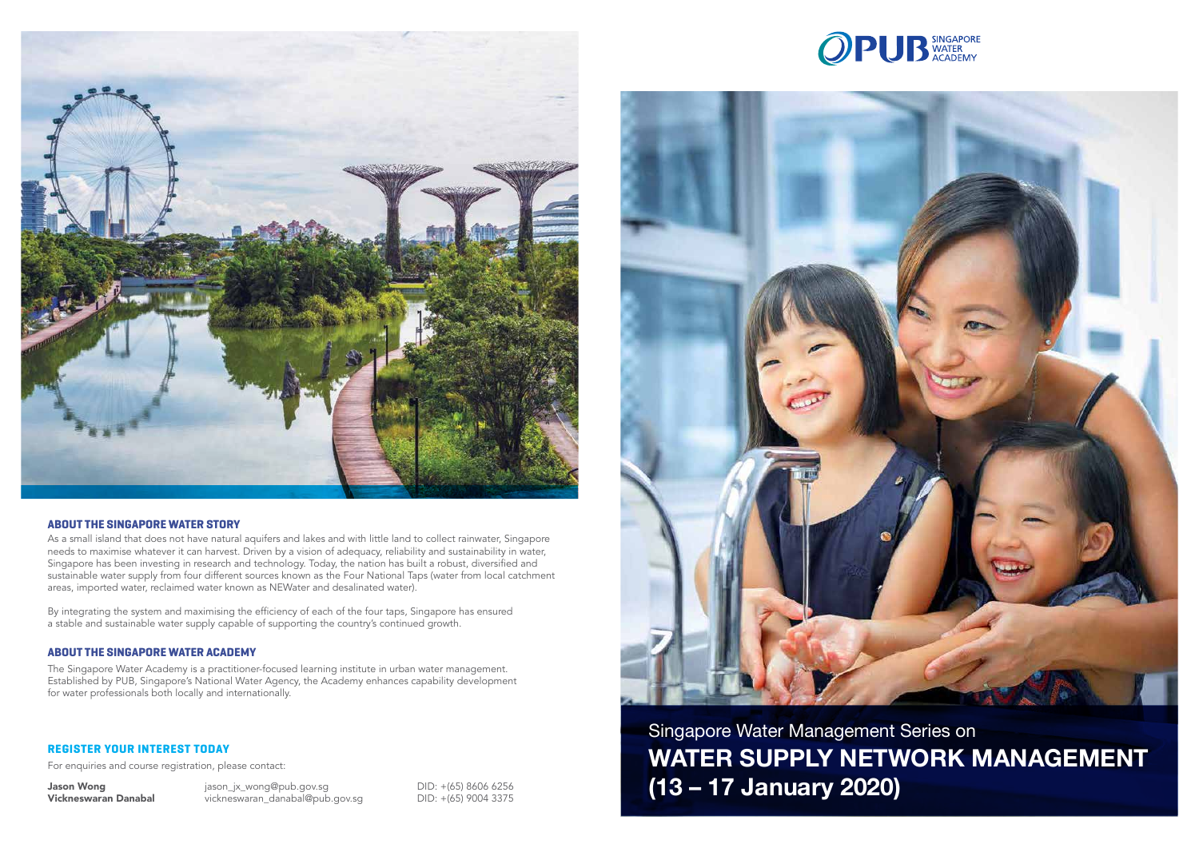## **REGISTER YOUR INTEREST TODAY**

For enquiries and course registration, please contact:

Jason Wong diason\_jx\_wong@pub.gov.sg DID: +(65) 8606 6256 Vickneswaran Danabal vickneswaran\_danabal@pub.gov.sg DID: +(65) 9004 3375







### **ABOUT THE SINGAPORE WATER STORY**

As a small island that does not have natural aquifers and lakes and with little land to collect rainwater, Singapore needs to maximise whatever it can harvest. Driven by a vision of adequacy, reliability and sustainability in water, Singapore has been investing in research and technology. Today, the nation has built a robust, diversified and sustainable water supply from four different sources known as the Four National Taps (water from local catchment areas, imported water, reclaimed water known as NEWater and desalinated water).

By integrating the system and maximising the efficiency of each of the four taps, Singapore has ensured a stable and sustainable water supply capable of supporting the country's continued growth.

### **ABOUT THE SINGAPORE WATER ACADEMY**

The Singapore Water Academy is a practitioner-focused learning institute in urban water management. Established by PUB, Singapore's National Water Agency, the Academy enhances capability development for water professionals both locally and internationally.

> Singapore Water Management Series on **WATER SUPPLY NETWORK MANAGEMENT (13 – 17 January 2020)**